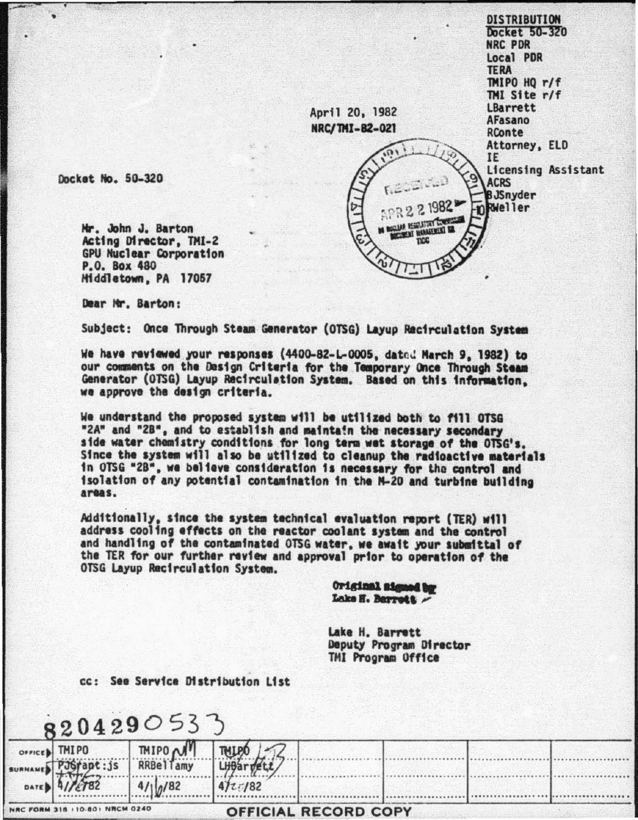**DISTRIBUTION** Docket 50-320 NRC PDR Local PDR **TERA** TMIPO HO r/f TMI Site r/f LBarrett April 20, 1982 **AFasano** NRC/TMI-82-021 RConte Attorney, ELD IE Licensing Assistant **ACRS BJSnyder** PR 2 2 1982 mRWeller CLASS RESILVANT COMPANY **RE INVERSION** Tarraynne

Docket No. 50-320

Mr. John J. Barton Acting Director, TMI-2 **GPU Nuclear Corporation** P.O. Box 480 Middletown, PA 17057

Dear Mr. Barton:

Subject: Once Through Steam Generator (OTSG) Layup Recirculation System

We have reviewed your responses (4400-82-L-0005, dated March 9, 1982) to our comments on the Design Criteria for the Temporary Once Through Steam Generator (OTSG) Layup Recirculation System. Based on this information. we approve the design criteria.

We understand the proposed system will be utilized both to fill OTSG "2A" and "2B", and to establish and maintain the necessary secondary side water chamistry conditions for long term wet storage of the OTSG's. Since the system will also be utilized to cleanup the radioactive materials in OTSG "2B", we believe consideration is necessary for the control and isolation of any potential contamination in the M-20 and turbine building areas.

Additionally, since the system technical evaluation report (TER) will<br>address cooling effects on the reactor coolant system and the control and handling of the contaminated OTSG water, we await your submittal of the TER for our further review and approval prior to operation of the OTSG Layup Recirculation System.

> Original signed by Lake H. Barrett -

Lake H. Barrett Deputy Program Director TMI Program Office

cc: See Service Distribution List

 $0/82$ 

**LHBar** 

 $472/82$ 

|  | 8204290533                                                   |  |
|--|--------------------------------------------------------------|--|
|  | orrice) TMIPO TMIPO M TM.<br>phanes PJ6fapt: js RRBellamy LH |  |
|  |                                                              |  |

| NRC FORM 318 110-801 NRCM 0240 |  |  |
|--------------------------------|--|--|

OFFICIAL RECORD COPY